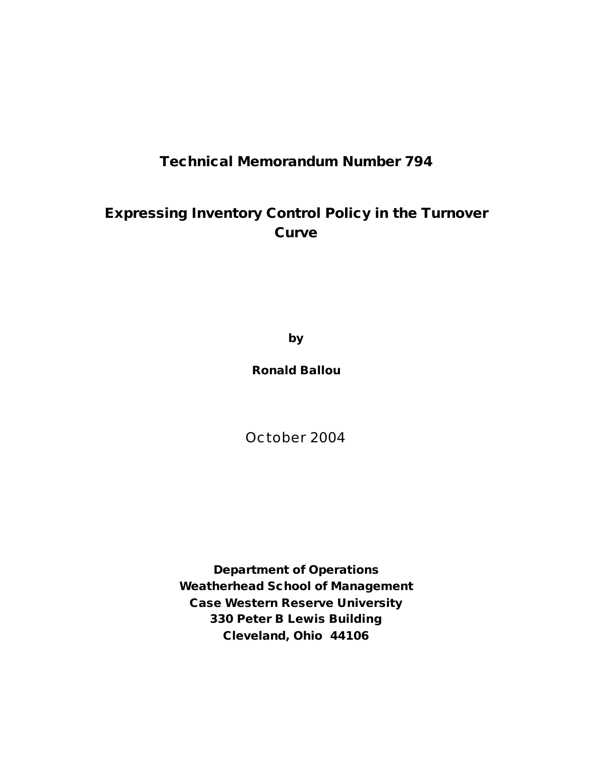# **Technical Memorandum Number 794**

# **Expressing Inventory Control Policy in the Turnover Curve**

**by**

**Ronald Ballou**

October 2004

**Department of Operations Weatherhead School of Management Case Western Reserve University 330 Peter B Lewis Building Cleveland, Ohio 44106**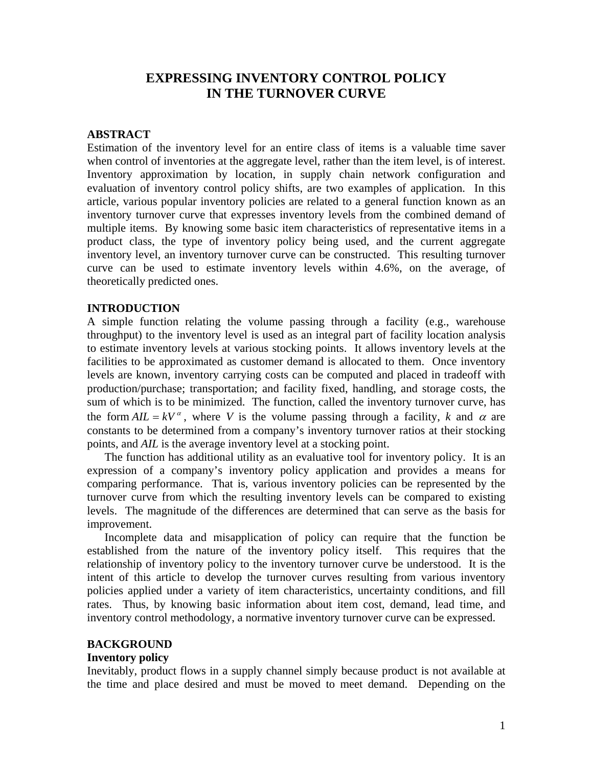## **EXPRESSING INVENTORY CONTROL POLICY IN THE TURNOVER CURVE**

## **ABSTRACT**

Estimation of the inventory level for an entire class of items is a valuable time saver when control of inventories at the aggregate level, rather than the item level, is of interest. Inventory approximation by location, in supply chain network configuration and evaluation of inventory control policy shifts, are two examples of application. In this article, various popular inventory policies are related to a general function known as an inventory turnover curve that expresses inventory levels from the combined demand of multiple items. By knowing some basic item characteristics of representative items in a product class, the type of inventory policy being used, and the current aggregate inventory level, an inventory turnover curve can be constructed. This resulting turnover curve can be used to estimate inventory levels within 4.6%, on the average, of theoretically predicted ones.

#### **INTRODUCTION**

A simple function relating the volume passing through a facility (e.g., warehouse throughput) to the inventory level is used as an integral part of facility location analysis to estimate inventory levels at various stocking points. It allows inventory levels at the facilities to be approximated as customer demand is allocated to them. Once inventory levels are known, inventory carrying costs can be computed and placed in tradeoff with production/purchase; transportation; and facility fixed, handling, and storage costs, the sum of which is to be minimized. The function, called the inventory turnover curve, has the form  $AIL = kV^{\alpha}$ , where *V* is the volume passing through a facility, *k* and  $\alpha$  are constants to be determined from a company's inventory turnover ratios at their stocking points, and *AIL* is the average inventory level at a stocking point.

The function has additional utility as an evaluative tool for inventory policy. It is an expression of a company's inventory policy application and provides a means for comparing performance. That is, various inventory policies can be represented by the turnover curve from which the resulting inventory levels can be compared to existing levels. The magnitude of the differences are determined that can serve as the basis for improvement.

Incomplete data and misapplication of policy can require that the function be established from the nature of the inventory policy itself. This requires that the relationship of inventory policy to the inventory turnover curve be understood. It is the intent of this article to develop the turnover curves resulting from various inventory policies applied under a variety of item characteristics, uncertainty conditions, and fill rates. Thus, by knowing basic information about item cost, demand, lead time, and inventory control methodology, a normative inventory turnover curve can be expressed.

#### **BACKGROUND**

#### **Inventory policy**

Inevitably, product flows in a supply channel simply because product is not available at the time and place desired and must be moved to meet demand. Depending on the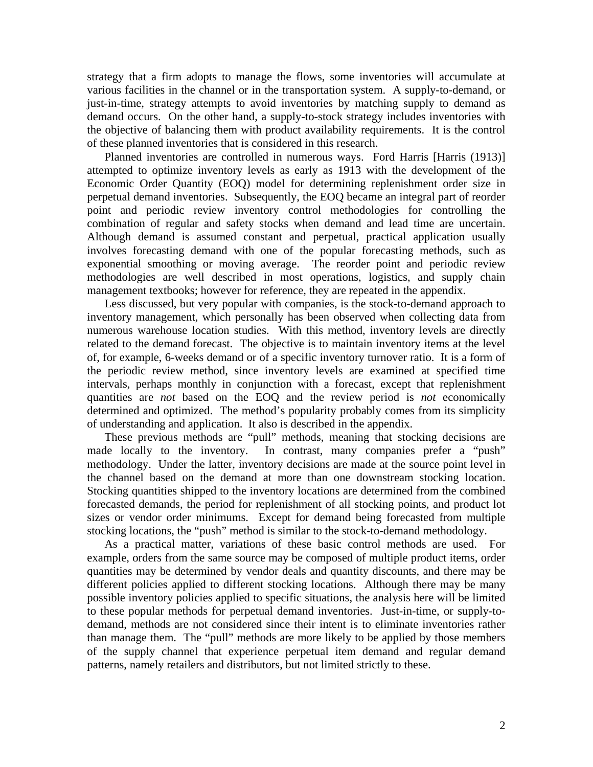strategy that a firm adopts to manage the flows, some inventories will accumulate at various facilities in the channel or in the transportation system. A supply-to-demand, or just-in-time, strategy attempts to avoid inventories by matching supply to demand as demand occurs. On the other hand, a supply-to-stock strategy includes inventories with the objective of balancing them with product availability requirements. It is the control of these planned inventories that is considered in this research.

Planned inventories are controlled in numerous ways. Ford Harris [Harris (1913)] attempted to optimize inventory levels as early as 1913 with the development of the Economic Order Quantity (EOQ) model for determining replenishment order size in perpetual demand inventories. Subsequently, the EOQ became an integral part of reorder point and periodic review inventory control methodologies for controlling the combination of regular and safety stocks when demand and lead time are uncertain. Although demand is assumed constant and perpetual, practical application usually involves forecasting demand with one of the popular forecasting methods, such as exponential smoothing or moving average. The reorder point and periodic review methodologies are well described in most operations, logistics, and supply chain management textbooks; however for reference, they are repeated in the appendix.

Less discussed, but very popular with companies, is the stock-to-demand approach to inventory management, which personally has been observed when collecting data from numerous warehouse location studies. With this method, inventory levels are directly related to the demand forecast. The objective is to maintain inventory items at the level of, for example, 6-weeks demand or of a specific inventory turnover ratio. It is a form of the periodic review method, since inventory levels are examined at specified time intervals, perhaps monthly in conjunction with a forecast, except that replenishment quantities are *not* based on the EOQ and the review period is *not* economically determined and optimized. The method's popularity probably comes from its simplicity of understanding and application. It also is described in the appendix.

These previous methods are "pull" methods, meaning that stocking decisions are made locally to the inventory. In contrast, many companies prefer a "push" methodology. Under the latter, inventory decisions are made at the source point level in the channel based on the demand at more than one downstream stocking location. Stocking quantities shipped to the inventory locations are determined from the combined forecasted demands, the period for replenishment of all stocking points, and product lot sizes or vendor order minimums. Except for demand being forecasted from multiple stocking locations, the "push" method is similar to the stock-to-demand methodology.

As a practical matter, variations of these basic control methods are used. For example, orders from the same source may be composed of multiple product items, order quantities may be determined by vendor deals and quantity discounts, and there may be different policies applied to different stocking locations. Although there may be many possible inventory policies applied to specific situations, the analysis here will be limited to these popular methods for perpetual demand inventories. Just-in-time, or supply-todemand, methods are not considered since their intent is to eliminate inventories rather than manage them. The "pull" methods are more likely to be applied by those members of the supply channel that experience perpetual item demand and regular demand patterns, namely retailers and distributors, but not limited strictly to these.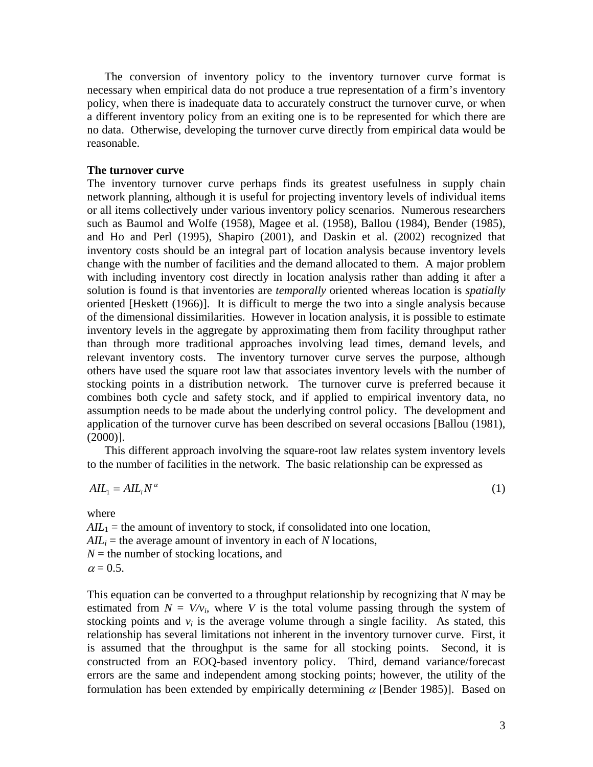The conversion of inventory policy to the inventory turnover curve format is necessary when empirical data do not produce a true representation of a firm's inventory policy, when there is inadequate data to accurately construct the turnover curve, or when a different inventory policy from an exiting one is to be represented for which there are no data. Otherwise, developing the turnover curve directly from empirical data would be reasonable.

#### **The turnover curve**

The inventory turnover curve perhaps finds its greatest usefulness in supply chain network planning, although it is useful for projecting inventory levels of individual items or all items collectively under various inventory policy scenarios. Numerous researchers such as Baumol and Wolfe (1958), Magee et al. (1958), Ballou (1984), Bender (1985), and Ho and Perl (1995), Shapiro (2001), and Daskin et al. (2002) recognized that inventory costs should be an integral part of location analysis because inventory levels change with the number of facilities and the demand allocated to them. A major problem with including inventory cost directly in location analysis rather than adding it after a solution is found is that inventories are *temporally* oriented whereas location is *spatially* oriented [Heskett (1966)]. It is difficult to merge the two into a single analysis because of the dimensional dissimilarities. However in location analysis, it is possible to estimate inventory levels in the aggregate by approximating them from facility throughput rather than through more traditional approaches involving lead times, demand levels, and relevant inventory costs. The inventory turnover curve serves the purpose, although others have used the square root law that associates inventory levels with the number of stocking points in a distribution network. The turnover curve is preferred because it combines both cycle and safety stock, and if applied to empirical inventory data, no assumption needs to be made about the underlying control policy. The development and application of the turnover curve has been described on several occasions [Ballou (1981), (2000)].

This different approach involving the square-root law relates system inventory levels to the number of facilities in the network. The basic relationship can be expressed as

$$
AIL_1 = AIL_iN^{\alpha} \tag{1}
$$

where

 $AIL_1$  = the amount of inventory to stock, if consolidated into one location,  $AIL_i$  = the average amount of inventory in each of *N* locations,  $N =$  the number of stocking locations, and  $\alpha = 0.5$ .

This equation can be converted to a throughput relationship by recognizing that *N* may be estimated from  $N = V/v_i$ , where V is the total volume passing through the system of stocking points and  $v_i$  is the average volume through a single facility. As stated, this relationship has several limitations not inherent in the inventory turnover curve. First, it is assumed that the throughput is the same for all stocking points. Second, it is constructed from an EOQ-based inventory policy. Third, demand variance/forecast errors are the same and independent among stocking points; however, the utility of the formulation has been extended by empirically determining  $\alpha$  [Bender 1985)]. Based on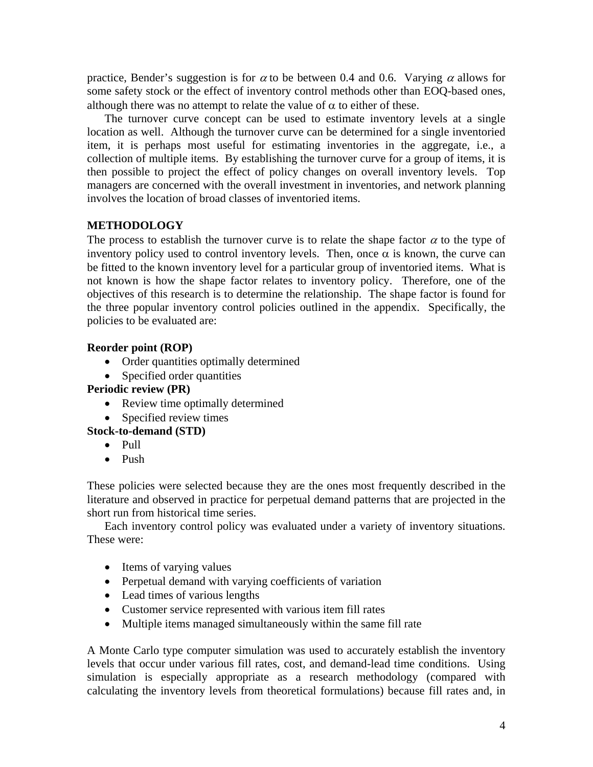practice, Bender's suggestion is for  $\alpha$  to be between 0.4 and 0.6. Varying  $\alpha$  allows for some safety stock or the effect of inventory control methods other than EOQ-based ones, although there was no attempt to relate the value of  $\alpha$  to either of these.

The turnover curve concept can be used to estimate inventory levels at a single location as well. Although the turnover curve can be determined for a single inventoried item, it is perhaps most useful for estimating inventories in the aggregate, i.e., a collection of multiple items. By establishing the turnover curve for a group of items, it is then possible to project the effect of policy changes on overall inventory levels. Top managers are concerned with the overall investment in inventories, and network planning involves the location of broad classes of inventoried items.

## **METHODOLOGY**

The process to establish the turnover curve is to relate the shape factor  $\alpha$  to the type of inventory policy used to control inventory levels. Then, once  $\alpha$  is known, the curve can be fitted to the known inventory level for a particular group of inventoried items. What is not known is how the shape factor relates to inventory policy. Therefore, one of the objectives of this research is to determine the relationship. The shape factor is found for the three popular inventory control policies outlined in the appendix. Specifically, the policies to be evaluated are:

## **Reorder point (ROP)**

- Order quantities optimally determined
- Specified order quantities

## **Periodic review (PR)**

- Review time optimally determined
- Specified review times

## **Stock-to-demand (STD)**

- Pull
- Push

These policies were selected because they are the ones most frequently described in the literature and observed in practice for perpetual demand patterns that are projected in the short run from historical time series.

Each inventory control policy was evaluated under a variety of inventory situations. These were:

- Items of varying values
- Perpetual demand with varying coefficients of variation
- Lead times of various lengths
- Customer service represented with various item fill rates
- Multiple items managed simultaneously within the same fill rate

A Monte Carlo type computer simulation was used to accurately establish the inventory levels that occur under various fill rates, cost, and demand-lead time conditions. Using simulation is especially appropriate as a research methodology (compared with calculating the inventory levels from theoretical formulations) because fill rates and, in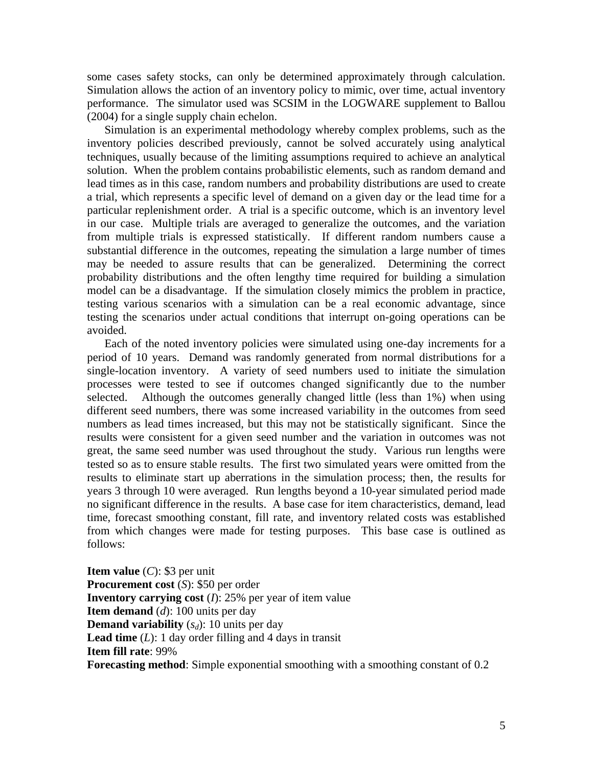some cases safety stocks, can only be determined approximately through calculation. Simulation allows the action of an inventory policy to mimic, over time, actual inventory performance. The simulator used was SCSIM in the LOGWARE supplement to Ballou (2004) for a single supply chain echelon.

Simulation is an experimental methodology whereby complex problems, such as the inventory policies described previously, cannot be solved accurately using analytical techniques, usually because of the limiting assumptions required to achieve an analytical solution. When the problem contains probabilistic elements, such as random demand and lead times as in this case, random numbers and probability distributions are used to create a trial, which represents a specific level of demand on a given day or the lead time for a particular replenishment order. A trial is a specific outcome, which is an inventory level in our case. Multiple trials are averaged to generalize the outcomes, and the variation from multiple trials is expressed statistically. If different random numbers cause a substantial difference in the outcomes, repeating the simulation a large number of times may be needed to assure results that can be generalized. Determining the correct probability distributions and the often lengthy time required for building a simulation model can be a disadvantage. If the simulation closely mimics the problem in practice, testing various scenarios with a simulation can be a real economic advantage, since testing the scenarios under actual conditions that interrupt on-going operations can be avoided.

Each of the noted inventory policies were simulated using one-day increments for a period of 10 years. Demand was randomly generated from normal distributions for a single-location inventory. A variety of seed numbers used to initiate the simulation processes were tested to see if outcomes changed significantly due to the number selected. Although the outcomes generally changed little (less than 1%) when using different seed numbers, there was some increased variability in the outcomes from seed numbers as lead times increased, but this may not be statistically significant. Since the results were consistent for a given seed number and the variation in outcomes was not great, the same seed number was used throughout the study. Various run lengths were tested so as to ensure stable results. The first two simulated years were omitted from the results to eliminate start up aberrations in the simulation process; then, the results for years 3 through 10 were averaged. Run lengths beyond a 10-year simulated period made no significant difference in the results. A base case for item characteristics, demand, lead time, forecast smoothing constant, fill rate, and inventory related costs was established from which changes were made for testing purposes. This base case is outlined as follows:

**Item value**  $(C)$ : \$3 per unit **Procurement cost** (*S*): \$50 per order **Inventory carrying cost** (*I*): 25% per year of item value **Item demand** (*d*): 100 units per day **Demand variability**  $(s_d)$ : 10 units per day **Lead time** (*L*): 1 day order filling and 4 days in transit **Item fill rate**: 99% **Forecasting method**: Simple exponential smoothing with a smoothing constant of 0.2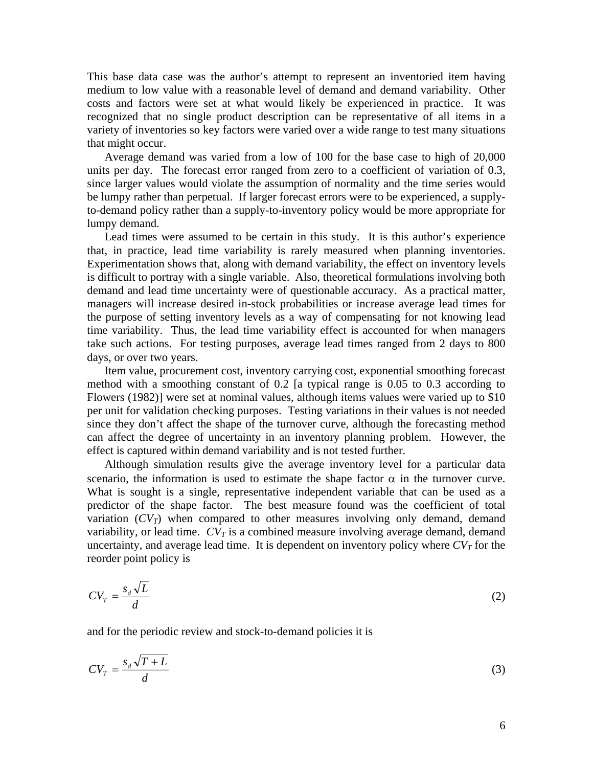This base data case was the author's attempt to represent an inventoried item having medium to low value with a reasonable level of demand and demand variability. Other costs and factors were set at what would likely be experienced in practice. It was recognized that no single product description can be representative of all items in a variety of inventories so key factors were varied over a wide range to test many situations that might occur.

Average demand was varied from a low of 100 for the base case to high of 20,000 units per day. The forecast error ranged from zero to a coefficient of variation of 0.3, since larger values would violate the assumption of normality and the time series would be lumpy rather than perpetual. If larger forecast errors were to be experienced, a supplyto-demand policy rather than a supply-to-inventory policy would be more appropriate for lumpy demand.

Lead times were assumed to be certain in this study. It is this author's experience that, in practice, lead time variability is rarely measured when planning inventories. Experimentation shows that, along with demand variability, the effect on inventory levels is difficult to portray with a single variable. Also, theoretical formulations involving both demand and lead time uncertainty were of questionable accuracy. As a practical matter, managers will increase desired in-stock probabilities or increase average lead times for the purpose of setting inventory levels as a way of compensating for not knowing lead time variability. Thus, the lead time variability effect is accounted for when managers take such actions. For testing purposes, average lead times ranged from 2 days to 800 days, or over two years.

Item value, procurement cost, inventory carrying cost, exponential smoothing forecast method with a smoothing constant of 0.2 [a typical range is 0.05 to 0.3 according to Flowers (1982)] were set at nominal values, although items values were varied up to \$10 per unit for validation checking purposes. Testing variations in their values is not needed since they don't affect the shape of the turnover curve, although the forecasting method can affect the degree of uncertainty in an inventory planning problem. However, the effect is captured within demand variability and is not tested further.

Although simulation results give the average inventory level for a particular data scenario, the information is used to estimate the shape factor  $\alpha$  in the turnover curve. What is sought is a single, representative independent variable that can be used as a predictor of the shape factor. The best measure found was the coefficient of total variation  $(CV_T)$  when compared to other measures involving only demand, demand variability, or lead time.  $CV_T$  is a combined measure involving average demand, demand uncertainty, and average lead time. It is dependent on inventory policy where  $CV_T$  for the reorder point policy is

$$
CV_T = \frac{s_d \sqrt{L}}{d}
$$
 (2)

and for the periodic review and stock-to-demand policies it is

$$
CV_T = \frac{s_d \sqrt{T + L}}{d}
$$
 (3)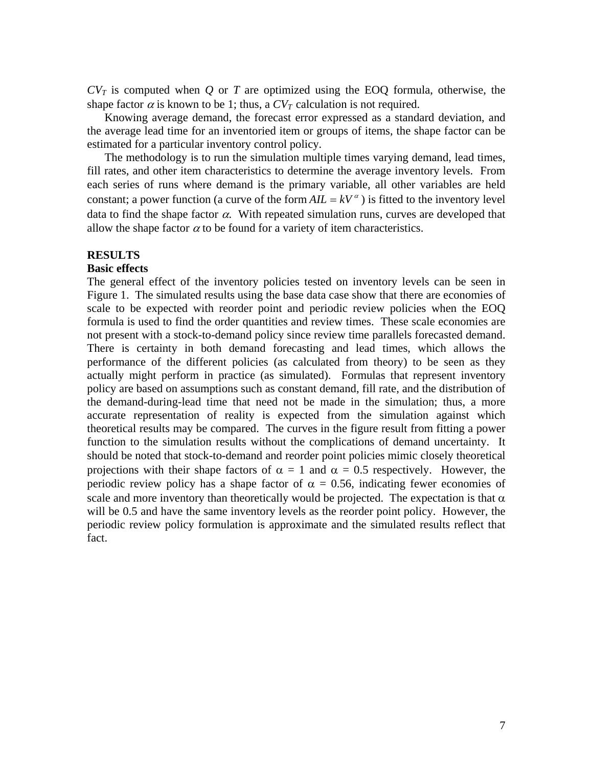$CV_T$  is computed when  $Q$  or  $T$  are optimized using the EOQ formula, otherwise, the shape factor  $\alpha$  is known to be 1; thus, a  $CV_T$  calculation is not required.

Knowing average demand, the forecast error expressed as a standard deviation, and the average lead time for an inventoried item or groups of items, the shape factor can be estimated for a particular inventory control policy.

The methodology is to run the simulation multiple times varying demand, lead times, fill rates, and other item characteristics to determine the average inventory levels. From each series of runs where demand is the primary variable, all other variables are held constant; a power function (a curve of the form  $AIL = kV^{\alpha}$ ) is fitted to the inventory level data to find the shape factor  $\alpha$ . With repeated simulation runs, curves are developed that allow the shape factor  $\alpha$  to be found for a variety of item characteristics.

#### **RESULTS**

#### **Basic effects**

The general effect of the inventory policies tested on inventory levels can be seen in Figure 1. The simulated results using the base data case show that there are economies of scale to be expected with reorder point and periodic review policies when the EOQ formula is used to find the order quantities and review times. These scale economies are not present with a stock-to-demand policy since review time parallels forecasted demand. There is certainty in both demand forecasting and lead times, which allows the performance of the different policies (as calculated from theory) to be seen as they actually might perform in practice (as simulated). Formulas that represent inventory policy are based on assumptions such as constant demand, fill rate, and the distribution of the demand-during-lead time that need not be made in the simulation; thus, a more accurate representation of reality is expected from the simulation against which theoretical results may be compared. The curves in the figure result from fitting a power function to the simulation results without the complications of demand uncertainty. It should be noted that stock-to-demand and reorder point policies mimic closely theoretical projections with their shape factors of  $\alpha = 1$  and  $\alpha = 0.5$  respectively. However, the periodic review policy has a shape factor of  $\alpha = 0.56$ , indicating fewer economies of scale and more inventory than theoretically would be projected. The expectation is that  $\alpha$ will be 0.5 and have the same inventory levels as the reorder point policy. However, the periodic review policy formulation is approximate and the simulated results reflect that fact.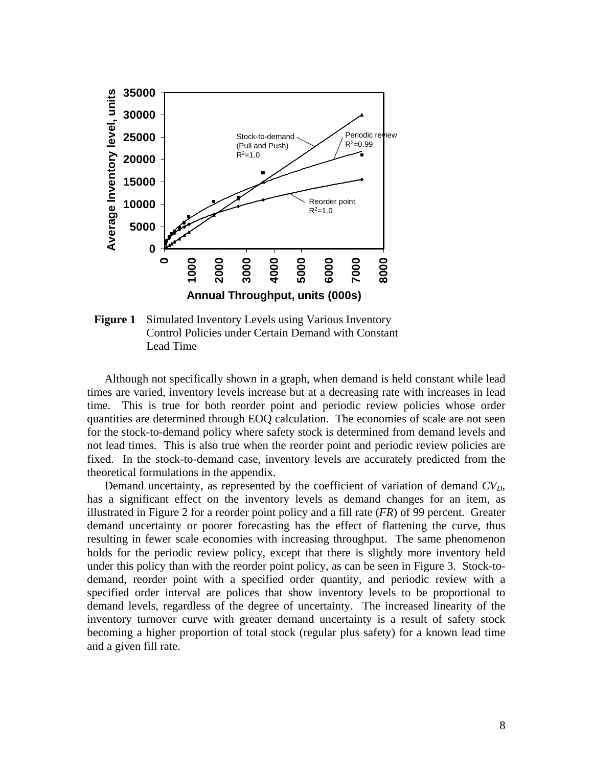

**Figure 1** Simulated Inventory Levels using Various Inventory Control Policies under Certain Demand with Constant Lead Time

Although not specifically shown in a graph, when demand is held constant while lead times are varied, inventory levels increase but at a decreasing rate with increases in lead time. This is true for both reorder point and periodic review policies whose order quantities are determined through EOQ calculation. The economies of scale are not seen for the stock-to-demand policy where safety stock is determined from demand levels and not lead times. This is also true when the reorder point and periodic review policies are fixed. In the stock-to-demand case, inventory levels are accurately predicted from the theoretical formulations in the appendix.

Demand uncertainty, as represented by the coefficient of variation of demand *CVD*, has a significant effect on the inventory levels as demand changes for an item, as illustrated in Figure 2 for a reorder point policy and a fill rate (*FR*) of 99 percent. Greater demand uncertainty or poorer forecasting has the effect of flattening the curve, thus resulting in fewer scale economies with increasing throughput. The same phenomenon holds for the periodic review policy, except that there is slightly more inventory held under this policy than with the reorder point policy, as can be seen in Figure 3. Stock-todemand, reorder point with a specified order quantity, and periodic review with a specified order interval are polices that show inventory levels to be proportional to demand levels, regardless of the degree of uncertainty. The increased linearity of the inventory turnover curve with greater demand uncertainty is a result of safety stock becoming a higher proportion of total stock (regular plus safety) for a known lead time and a given fill rate.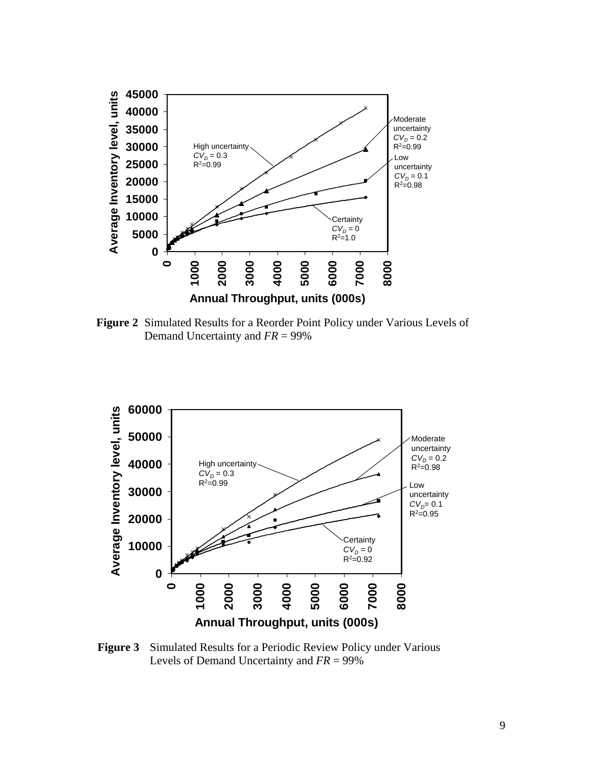

**Figure 2** Simulated Results for a Reorder Point Policy under Various Levels of Demand Uncertainty and *FR* = 99%



**Figure 3** Simulated Results for a Periodic Review Policy under Various Levels of Demand Uncertainty and *FR* = 99%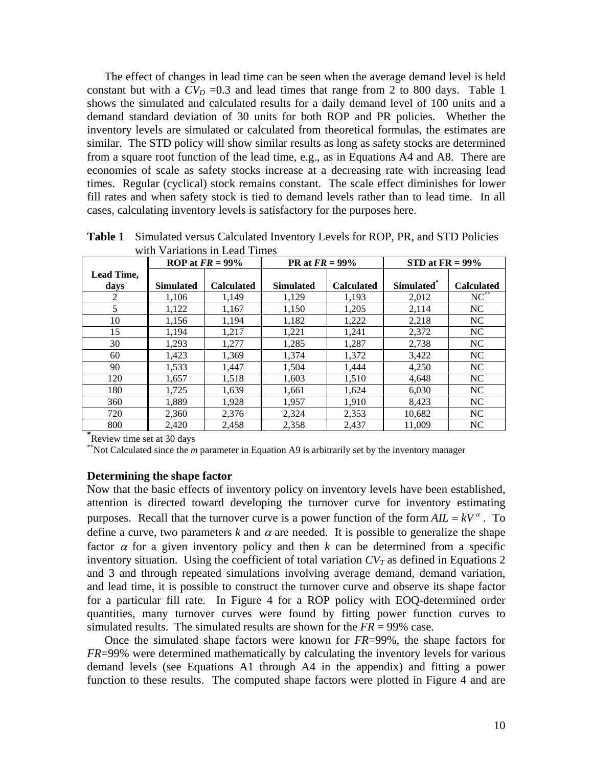The effect of changes in lead time can be seen when the average demand level is held constant but with a  $CV<sub>D</sub> = 0.3$  and lead times that range from 2 to 800 days. Table 1 shows the simulated and calculated results for a daily demand level of 100 units and a demand standard deviation of 30 units for both ROP and PR policies. Whether the inventory levels are simulated or calculated from theoretical formulas, the estimates are similar. The STD policy will show similar results as long as safety stocks are determined from a square root function of the lead time, e.g., as in Equations A4 and A8. There are economies of scale as safety stocks increase at a decreasing rate with increasing lead times. Regular (cyclical) stock remains constant. The scale effect diminishes for lower fill rates and when safety stock is tied to demand levels rather than to lead time. In all cases, calculating inventory levels is satisfactory for the purposes here.

|            | ROP at $FR = 99\%$ |                   | PR at $FR = 99\%$ |                   | STD at $FR = 99\%$ |                   |  |  |
|------------|--------------------|-------------------|-------------------|-------------------|--------------------|-------------------|--|--|
| Lead Time, |                    |                   |                   |                   |                    |                   |  |  |
| days       | <b>Simulated</b>   | <b>Calculated</b> | <b>Simulated</b>  | <b>Calculated</b> | Simulated*         | <b>Calculated</b> |  |  |
| 2          | 1,106              | 1,149             | 1,129             | 1,193             | 2,012              | $NC^*$            |  |  |
| 5          | 1,122              | 1,167             | 1,150             | 1,205             | 2,114              | NC                |  |  |
| 10         | 1,156              | 1,194             | 1,182             | 1,222             | 2,218              | NC.               |  |  |
| 15         | 1,194              | 1,217             | 1,221             | 1,241             | 2,372              | NC                |  |  |
| 30         | 1.293              | 1.277             | 1,285             | 1,287             | 2,738              | NC.               |  |  |
| 60         | 1,423              | 1,369             | 1,374             | 1,372             | 3,422              | NC                |  |  |
| 90         | 1,533              | 1,447             | 1,504             | 1,444             | 4,250              | NC.               |  |  |
| 120        | 1,657              | 1,518             | 1,603             | 1,510             | 4,648              | NC                |  |  |
| 180        | 1,725              | 1,639             | 1,661             | 1,624             | 6,030              | NC                |  |  |
| 360        | 1,889              | 1.928             | 1,957             | 1,910             | 8,423              | NC                |  |  |
| 720        | 2,360              | 2,376             | 2,324             | 2,353             | 10,682             | NC                |  |  |
| 800        | 2,420              | 2,458             | 2,358             | 2,437             | 11,009             | NC.               |  |  |

**Table 1** Simulated versus Calculated Inventory Levels for ROP, PR, and STD Policies with Variations in Lead Times

**\*** Review time set at 30 days

\*\*Not Calculated since the *m* parameter in Equation A9 is arbitrarily set by the inventory manager

#### **Determining the shape factor**

Now that the basic effects of inventory policy on inventory levels have been established, attention is directed toward developing the turnover curve for inventory estimating purposes. Recall that the turnover curve is a power function of the form  $AIL = kV^{\alpha}$ . To define a curve, two parameters  $k$  and  $\alpha$  are needed. It is possible to generalize the shape factor  $\alpha$  for a given inventory policy and then  $k$  can be determined from a specific inventory situation. Using the coefficient of total variation  $CV_T$  as defined in Equations 2 and 3 and through repeated simulations involving average demand, demand variation, and lead time, it is possible to construct the turnover curve and observe its shape factor for a particular fill rate. In Figure 4 for a ROP policy with EOQ-determined order quantities, many turnover curves were found by fitting power function curves to simulated results. The simulated results are shown for the  $FR = 99\%$  case.

Once the simulated shape factors were known for *FR*=99%, the shape factors for *FR*=99% were determined mathematically by calculating the inventory levels for various demand levels (see Equations A1 through A4 in the appendix) and fitting a power function to these results. The computed shape factors were plotted in Figure 4 and are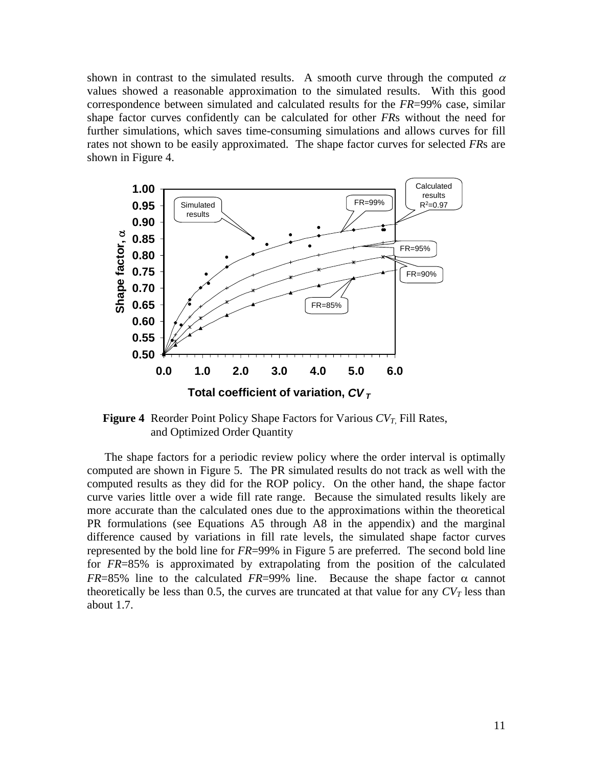shown in contrast to the simulated results. A smooth curve through the computed  $\alpha$ values showed a reasonable approximation to the simulated results. With this good correspondence between simulated and calculated results for the *FR*=99% case, similar shape factor curves confidently can be calculated for other *FR*s without the need for further simulations, which saves time-consuming simulations and allows curves for fill rates not shown to be easily approximated. The shape factor curves for selected *FR*s are shown in Figure 4.



**Figure 4** Reorder Point Policy Shape Factors for Various  $CV_T$  Fill Rates, and Optimized Order Quantity

The shape factors for a periodic review policy where the order interval is optimally computed are shown in Figure 5. The PR simulated results do not track as well with the computed results as they did for the ROP policy. On the other hand, the shape factor curve varies little over a wide fill rate range. Because the simulated results likely are more accurate than the calculated ones due to the approximations within the theoretical PR formulations (see Equations A5 through A8 in the appendix) and the marginal difference caused by variations in fill rate levels, the simulated shape factor curves represented by the bold line for *FR*=99% in Figure 5 are preferred. The second bold line for *FR*=85% is approximated by extrapolating from the position of the calculated *FR*=85% line to the calculated *FR*=99% line. Because the shape factor  $\alpha$  cannot theoretically be less than 0.5, the curves are truncated at that value for any  $CV_T$  less than about 1.7.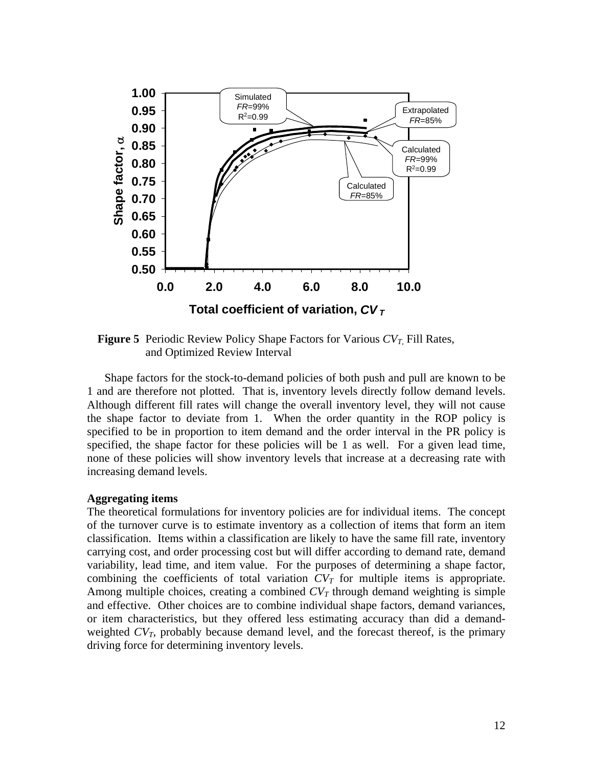

**Figure 5** Periodic Review Policy Shape Factors for Various  $CV_T$ , Fill Rates, and Optimized Review Interval

Shape factors for the stock-to-demand policies of both push and pull are known to be 1 and are therefore not plotted. That is, inventory levels directly follow demand levels. Although different fill rates will change the overall inventory level, they will not cause the shape factor to deviate from 1. When the order quantity in the ROP policy is specified to be in proportion to item demand and the order interval in the PR policy is specified, the shape factor for these policies will be 1 as well. For a given lead time, none of these policies will show inventory levels that increase at a decreasing rate with increasing demand levels.

#### **Aggregating items**

The theoretical formulations for inventory policies are for individual items. The concept of the turnover curve is to estimate inventory as a collection of items that form an item classification. Items within a classification are likely to have the same fill rate, inventory carrying cost, and order processing cost but will differ according to demand rate, demand variability, lead time, and item value. For the purposes of determining a shape factor, combining the coefficients of total variation  $CV_T$  for multiple items is appropriate. Among multiple choices, creating a combined  $CV<sub>T</sub>$  through demand weighting is simple and effective. Other choices are to combine individual shape factors, demand variances, or item characteristics, but they offered less estimating accuracy than did a demandweighted  $CV_T$ , probably because demand level, and the forecast thereof, is the primary driving force for determining inventory levels.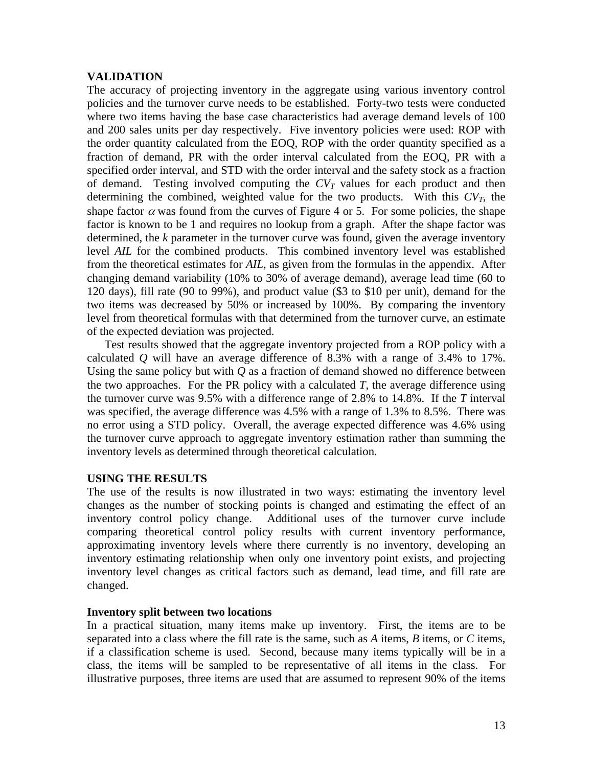#### **VALIDATION**

The accuracy of projecting inventory in the aggregate using various inventory control policies and the turnover curve needs to be established. Forty-two tests were conducted where two items having the base case characteristics had average demand levels of 100 and 200 sales units per day respectively. Five inventory policies were used: ROP with the order quantity calculated from the EOQ, ROP with the order quantity specified as a fraction of demand, PR with the order interval calculated from the EOQ, PR with a specified order interval, and STD with the order interval and the safety stock as a fraction of demand. Testing involved computing the  $CV_T$  values for each product and then determining the combined, weighted value for the two products. With this  $CV_T$ , the shape factor  $\alpha$  was found from the curves of Figure 4 or 5. For some policies, the shape factor is known to be 1 and requires no lookup from a graph. After the shape factor was determined, the *k* parameter in the turnover curve was found, given the average inventory level *AIL* for the combined products. This combined inventory level was established from the theoretical estimates for *AIL*, as given from the formulas in the appendix. After changing demand variability (10% to 30% of average demand), average lead time (60 to 120 days), fill rate (90 to 99%), and product value (\$3 to \$10 per unit), demand for the two items was decreased by 50% or increased by 100%. By comparing the inventory level from theoretical formulas with that determined from the turnover curve, an estimate of the expected deviation was projected.

Test results showed that the aggregate inventory projected from a ROP policy with a calculated *Q* will have an average difference of 8.3% with a range of 3.4% to 17%. Using the same policy but with *Q* as a fraction of demand showed no difference between the two approaches. For the PR policy with a calculated  $T$ , the average difference using the turnover curve was 9.5% with a difference range of 2.8% to 14.8%. If the *T* interval was specified, the average difference was 4.5% with a range of 1.3% to 8.5%. There was no error using a STD policy. Overall, the average expected difference was 4.6% using the turnover curve approach to aggregate inventory estimation rather than summing the inventory levels as determined through theoretical calculation.

#### **USING THE RESULTS**

The use of the results is now illustrated in two ways: estimating the inventory level changes as the number of stocking points is changed and estimating the effect of an inventory control policy change. Additional uses of the turnover curve include comparing theoretical control policy results with current inventory performance, approximating inventory levels where there currently is no inventory, developing an inventory estimating relationship when only one inventory point exists, and projecting inventory level changes as critical factors such as demand, lead time, and fill rate are changed.

#### **Inventory split between two locations**

In a practical situation, many items make up inventory. First, the items are to be separated into a class where the fill rate is the same, such as *A* items, *B* items, or *C* items, if a classification scheme is used. Second, because many items typically will be in a class, the items will be sampled to be representative of all items in the class. For illustrative purposes, three items are used that are assumed to represent 90% of the items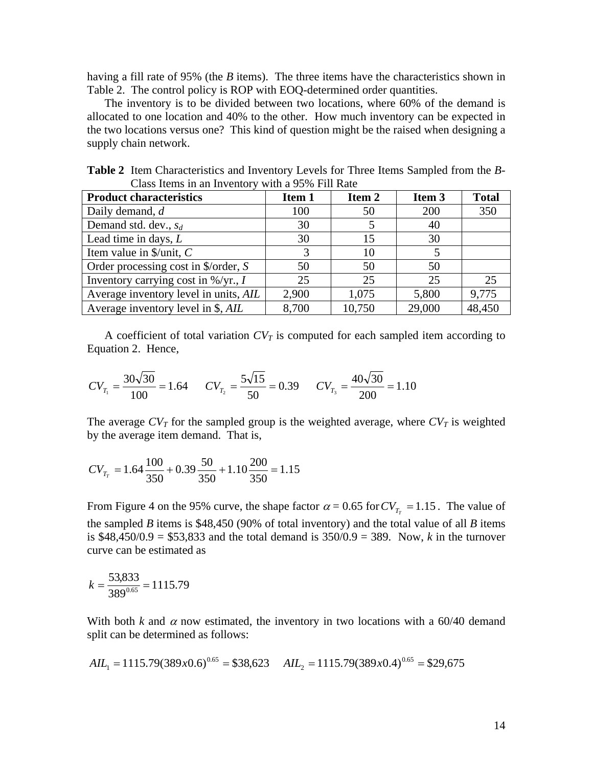having a fill rate of 95% (the *B* items). The three items have the characteristics shown in Table 2. The control policy is ROP with EOQ-determined order quantities.

The inventory is to be divided between two locations, where 60% of the demand is allocated to one location and 40% to the other. How much inventory can be expected in the two locations versus one? This kind of question might be the raised when designing a supply chain network.

**Table 2** Item Characteristics and Inventory Levels for Three Items Sampled from the *B*-Class Items in an Inventory with a 95% Fill Rate

| <b>Product characteristics</b>             | Item 1 | Item 2 | Item 3 | <b>Total</b> |
|--------------------------------------------|--------|--------|--------|--------------|
| Daily demand, d                            | 100    | 50     | 200    | 350          |
| Demand std. dev., $s_d$                    | 30     |        | 40     |              |
| Lead time in days, $L$                     | 30     | 15     | 30     |              |
| Item value in $\frac{2}{\pi}$ lines.       | 3      | 10     |        |              |
| Order processing cost in $\gamma$ order, S | 50     | 50     | 50     |              |
| Inventory carrying cost in %/yr., $I$      | 25     | 25     | 25     | 25           |
| Average inventory level in units, AIL      | 2,900  | 1,075  | 5,800  | 9,775        |
| Average inventory level in \$, AIL         | 8,700  | 10,750 | 29,000 | 48,450       |

A coefficient of total variation  $CV_T$  is computed for each sampled item according to Equation 2. Hence,

$$
CV_{T_1} = \frac{30\sqrt{30}}{100} = 1.64 \qquad CV_{T_2} = \frac{5\sqrt{15}}{50} = 0.39 \qquad CV_{T_3} = \frac{40\sqrt{30}}{200} = 1.10
$$

The average  $CV_T$  for the sampled group is the weighted average, where  $CV_T$  is weighted by the average item demand. That is,

$$
CV_{T_T} = 1.64 \frac{100}{350} + 0.39 \frac{50}{350} + 1.10 \frac{200}{350} = 1.15
$$

From Figure 4 on the 95% curve, the shape factor  $\alpha = 0.65$  for  $CV_{T_T} = 1.15$ . The value of the sampled *B* items is \$48,450 (90% of total inventory) and the total value of all *B* items is \$48,450/0.9 = \$53,833 and the total demand is 350/0.9 = 389. Now, *k* in the turnover curve can be estimated as

$$
k = \frac{53,833}{389^{0.65}} = 1115.79
$$

With both  $k$  and  $\alpha$  now estimated, the inventory in two locations with a 60/40 demand split can be determined as follows:

$$
AIL_1 = 1115.79(389 \times 0.6)^{0.65} = $38,623 \quad AIL_2 = 1115.79(389 \times 0.4)^{0.65} = $29,675
$$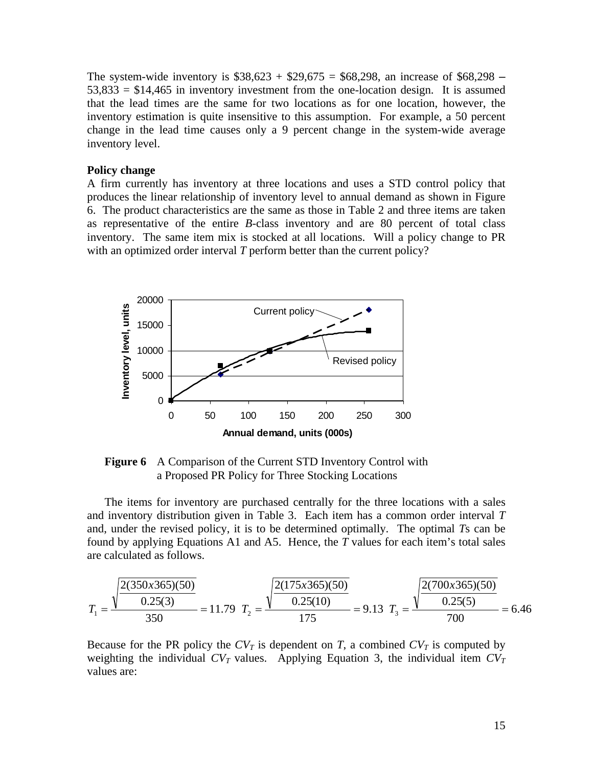The system-wide inventory is  $$38,623 + $29,675 = $68,298$ , an increase of  $$68,298 53,833 = $14,465$  in inventory investment from the one-location design. It is assumed that the lead times are the same for two locations as for one location, however, the inventory estimation is quite insensitive to this assumption. For example, a 50 percent change in the lead time causes only a 9 percent change in the system-wide average inventory level.

## **Policy change**

A firm currently has inventory at three locations and uses a STD control policy that produces the linear relationship of inventory level to annual demand as shown in Figure 6. The product characteristics are the same as those in Table 2 and three items are taken as representative of the entire *B*-class inventory and are 80 percent of total class inventory. The same item mix is stocked at all locations. Will a policy change to PR with an optimized order interval *T* perform better than the current policy?



**Figure 6** A Comparison of the Current STD Inventory Control with a Proposed PR Policy for Three Stocking Locations

The items for inventory are purchased centrally for the three locations with a sales and inventory distribution given in Table 3. Each item has a common order interval *T* and, under the revised policy, it is to be determined optimally. The optimal *T*s can be found by applying Equations A1 and A5. Hence, the *T* values for each item's total sales are calculated as follows.

$$
T_1 = \frac{\sqrt{\frac{2(350x365)(50)}{0.25(3)}}}{350} = 11.79 \t T_2 = \frac{\sqrt{\frac{2(175x365)(50)}{0.25(10)}}}{175} = 9.13 \t T_3 = \frac{\sqrt{\frac{2(700x365)(50)}{0.25(5)}}}{700} = 6.46
$$

Because for the PR policy the  $CV_T$  is dependent on *T*, a combined  $CV_T$  is computed by weighting the individual  $CV_T$  values. Applying Equation 3, the individual item  $CV_T$ values are: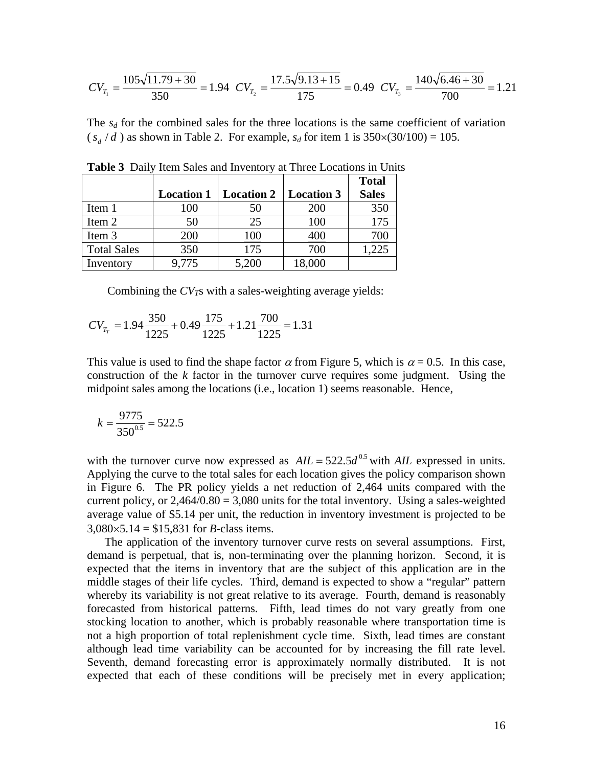$$
CV_{T_1} = \frac{105\sqrt{11.79 + 30}}{350} = 1.94 \quad CV_{T_2} = \frac{17.5\sqrt{9.13 + 15}}{175} = 0.49 \quad CV_{T_3} = \frac{140\sqrt{6.46 + 30}}{700} = 1.21
$$

The  $s_d$  for the combined sales for the three locations is the same coefficient of variation  $(s_d/d)$  as shown in Table 2. For example,  $s_d$  for item 1 is 350×(30/100) = 105.

|                    |                   |                   |                   | <b>Total</b> |
|--------------------|-------------------|-------------------|-------------------|--------------|
|                    | <b>Location 1</b> | <b>Location 2</b> | <b>Location 3</b> | <b>Sales</b> |
| Item 1             | 100               | 50                | 200               | 350          |
| Item 2             | 50                | 25                | 100               | 175          |
| Item 3             | <u> 200</u>       | 100               | $\underline{400}$ |              |
| <b>Total Sales</b> | 350               | 175               | 700               | ,225         |
| Inventory          | 9,775             | 5,200             | 18,000            |              |

**Table 3** Daily Item Sales and Inventory at Three Locations in Units

Combining the  $CV_Ts$  with a sales-weighting average yields:

$$
CV_{T_T} = 1.94 \frac{350}{1225} + 0.49 \frac{175}{1225} + 1.21 \frac{700}{1225} = 1.31
$$

This value is used to find the shape factor  $\alpha$  from Figure 5, which is  $\alpha = 0.5$ . In this case, construction of the *k* factor in the turnover curve requires some judgment. Using the midpoint sales among the locations (i.e., location 1) seems reasonable. Hence,

$$
k = \frac{9775}{350^{0.5}} = 522.5
$$

with the turnover curve now expressed as  $AIL = 522.5d^{0.5}$  with  $AIL$  expressed in units. Applying the curve to the total sales for each location gives the policy comparison shown in Figure 6. The PR policy yields a net reduction of 2,464 units compared with the current policy, or  $2,464/0.80 = 3,080$  units for the total inventory. Using a sales-weighted average value of \$5.14 per unit, the reduction in inventory investment is projected to be  $3.080 \times 5.14 = $15.831$  for *B*-class items.

The application of the inventory turnover curve rests on several assumptions. First, demand is perpetual, that is, non-terminating over the planning horizon. Second, it is expected that the items in inventory that are the subject of this application are in the middle stages of their life cycles. Third, demand is expected to show a "regular" pattern whereby its variability is not great relative to its average. Fourth, demand is reasonably forecasted from historical patterns. Fifth, lead times do not vary greatly from one stocking location to another, which is probably reasonable where transportation time is not a high proportion of total replenishment cycle time. Sixth, lead times are constant although lead time variability can be accounted for by increasing the fill rate level. Seventh, demand forecasting error is approximately normally distributed. It is not expected that each of these conditions will be precisely met in every application;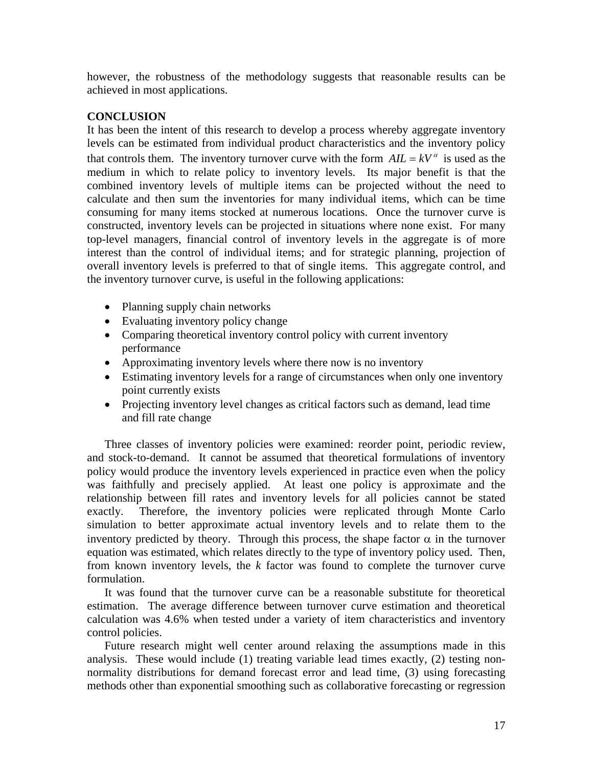however, the robustness of the methodology suggests that reasonable results can be achieved in most applications.

## **CONCLUSION**

It has been the intent of this research to develop a process whereby aggregate inventory levels can be estimated from individual product characteristics and the inventory policy that controls them. The inventory turnover curve with the form  $AIL = kV^{\alpha}$  is used as the medium in which to relate policy to inventory levels. Its major benefit is that the combined inventory levels of multiple items can be projected without the need to calculate and then sum the inventories for many individual items, which can be time consuming for many items stocked at numerous locations. Once the turnover curve is constructed, inventory levels can be projected in situations where none exist. For many top-level managers, financial control of inventory levels in the aggregate is of more interest than the control of individual items; and for strategic planning, projection of overall inventory levels is preferred to that of single items. This aggregate control, and the inventory turnover curve, is useful in the following applications:

- Planning supply chain networks
- Evaluating inventory policy change
- Comparing theoretical inventory control policy with current inventory performance
- Approximating inventory levels where there now is no inventory
- Estimating inventory levels for a range of circumstances when only one inventory point currently exists
- Projecting inventory level changes as critical factors such as demand, lead time and fill rate change

Three classes of inventory policies were examined: reorder point, periodic review, and stock-to-demand. It cannot be assumed that theoretical formulations of inventory policy would produce the inventory levels experienced in practice even when the policy was faithfully and precisely applied. At least one policy is approximate and the relationship between fill rates and inventory levels for all policies cannot be stated exactly. Therefore, the inventory policies were replicated through Monte Carlo simulation to better approximate actual inventory levels and to relate them to the inventory predicted by theory. Through this process, the shape factor  $\alpha$  in the turnover equation was estimated, which relates directly to the type of inventory policy used. Then, from known inventory levels, the *k* factor was found to complete the turnover curve formulation.

It was found that the turnover curve can be a reasonable substitute for theoretical estimation. The average difference between turnover curve estimation and theoretical calculation was 4.6% when tested under a variety of item characteristics and inventory control policies.

Future research might well center around relaxing the assumptions made in this analysis. These would include (1) treating variable lead times exactly, (2) testing nonnormality distributions for demand forecast error and lead time, (3) using forecasting methods other than exponential smoothing such as collaborative forecasting or regression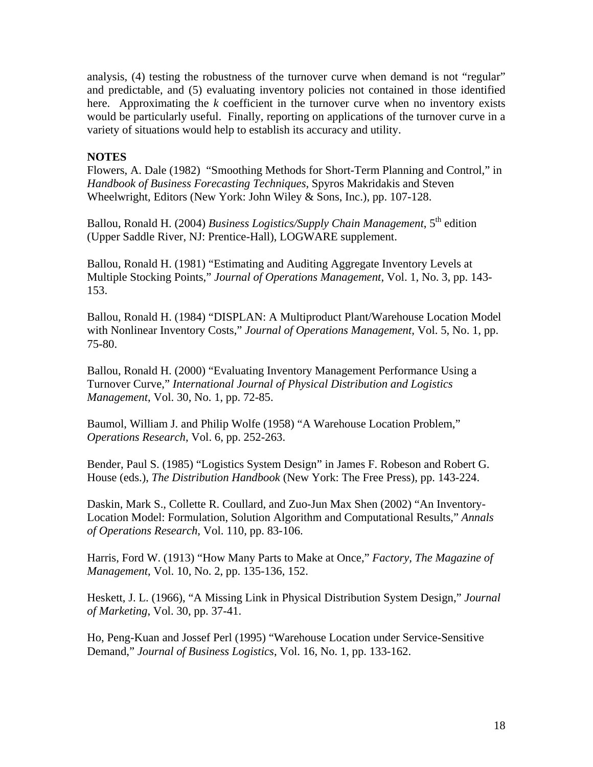analysis, (4) testing the robustness of the turnover curve when demand is not "regular" and predictable, and (5) evaluating inventory policies not contained in those identified here. Approximating the *k* coefficient in the turnover curve when no inventory exists would be particularly useful. Finally, reporting on applications of the turnover curve in a variety of situations would help to establish its accuracy and utility.

## **NOTES**

Flowers, A. Dale (1982) "Smoothing Methods for Short-Term Planning and Control," in *Handbook of Business Forecasting Techniques*, Spyros Makridakis and Steven Wheelwright, Editors (New York: John Wiley & Sons, Inc.), pp. 107-128.

Ballou, Ronald H. (2004) *Business Logistics/Supply Chain Management*, 5<sup>th</sup> edition (Upper Saddle River, NJ: Prentice-Hall), LOGWARE supplement.

Ballou, Ronald H. (1981) "Estimating and Auditing Aggregate Inventory Levels at Multiple Stocking Points," *Journal of Operations Management*, Vol. 1, No. 3, pp. 143- 153.

Ballou, Ronald H. (1984) "DISPLAN: A Multiproduct Plant/Warehouse Location Model with Nonlinear Inventory Costs," *Journal of Operations Management*, Vol. 5, No. 1, pp. 75-80.

Ballou, Ronald H. (2000) "Evaluating Inventory Management Performance Using a Turnover Curve," *International Journal of Physical Distribution and Logistics Management*, Vol. 30, No. 1, pp. 72-85.

Baumol, William J. and Philip Wolfe (1958) "A Warehouse Location Problem," *Operations Research*, Vol. 6, pp. 252-263.

Bender, Paul S. (1985) "Logistics System Design" in James F. Robeson and Robert G. House (eds.), *The Distribution Handbook* (New York: The Free Press), pp. 143-224.

Daskin, Mark S., Collette R. Coullard, and Zuo-Jun Max Shen (2002) "An Inventory-Location Model: Formulation, Solution Algorithm and Computational Results," *Annals of Operations Research*, Vol. 110, pp. 83-106.

Harris, Ford W. (1913) "How Many Parts to Make at Once," *Factory, The Magazine of Management*, Vol. 10, No. 2, pp. 135-136, 152.

Heskett, J. L. (1966), "A Missing Link in Physical Distribution System Design," *Journal of Marketing*, Vol. 30, pp. 37-41.

Ho, Peng-Kuan and Jossef Perl (1995) "Warehouse Location under Service-Sensitive Demand," *Journal of Business Logistics*, Vol. 16, No. 1, pp. 133-162.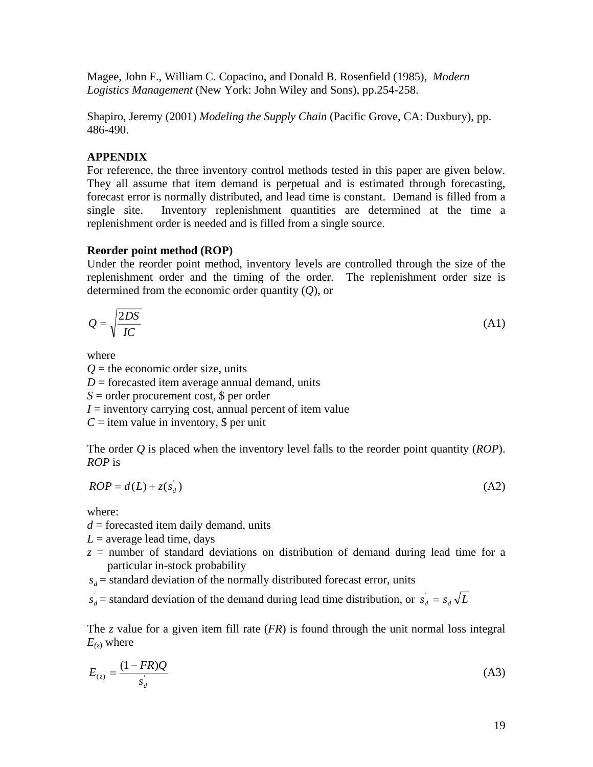Magee, John F., William C. Copacino, and Donald B. Rosenfield (1985), *Modern Logistics Management* (New York: John Wiley and Sons), pp.254-258.

Shapiro, Jeremy (2001) *Modeling the Supply Chain* (Pacific Grove, CA: Duxbury), pp. 486-490.

## **APPENDIX**

For reference, the three inventory control methods tested in this paper are given below. They all assume that item demand is perpetual and is estimated through forecasting, forecast error is normally distributed, and lead time is constant. Demand is filled from a single site. Inventory replenishment quantities are determined at the time a replenishment order is needed and is filled from a single source.

## **Reorder point method (ROP)**

Under the reorder point method, inventory levels are controlled through the size of the replenishment order and the timing of the order. The replenishment order size is determined from the economic order quantity (*Q*), or

$$
Q = \sqrt{\frac{2DS}{IC}}
$$
 (A1)

where

 $Q =$  the economic order size, units

 $D =$  forecasted item average annual demand, units

 $S =$  order procurement cost,  $\oint$  per order

 $I =$  inventory carrying cost, annual percent of item value

 $C =$  item value in inventory, \$ per unit

The order *Q* is placed when the inventory level falls to the reorder point quantity (*ROP*). *ROP* is

$$
ROP = d(L) + z(s_d)
$$
\n(A2)

where:

- $d =$  forecasted item daily demand, units
- $L =$  average lead time, days
- $z =$  number of standard deviations on distribution of demand during lead time for a particular in-stock probability

 $s_d$  = standard deviation of the normally distributed forecast error, units

 $s_d$  = standard deviation of the demand during lead time distribution, or  $s_d = s_d \sqrt{L}$ 

The *z* value for a given item fill rate (*FR*) is found through the unit normal loss integral  $E_{(z)}$  where

$$
E_{(z)} = \frac{(1 - FR)Q}{s_d}
$$
 (A3)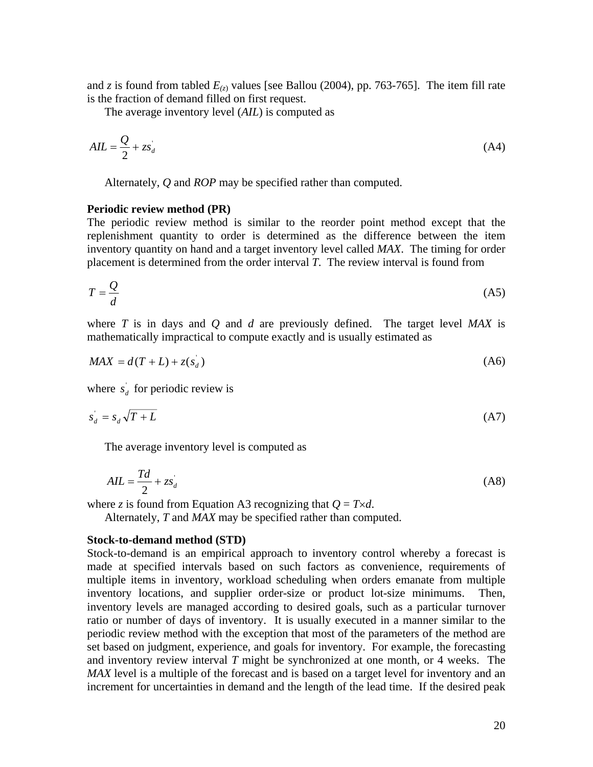and *z* is found from tabled  $E_{(z)}$  values [see Ballou (2004), pp. 763-765]. The item fill rate is the fraction of demand filled on first request.

The average inventory level (*AIL*) is computed as

$$
AIL = \frac{Q}{2} + zs_d^{\dagger} \tag{A4}
$$

Alternately, *Q* and *ROP* may be specified rather than computed.

#### **Periodic review method (PR)**

The periodic review method is similar to the reorder point method except that the replenishment quantity to order is determined as the difference between the item inventory quantity on hand and a target inventory level called *MAX*. The timing for order placement is determined from the order interval *T*. The review interval is found from

$$
T = \frac{Q}{d} \tag{A5}
$$

where *T* is in days and *Q* and *d* are previously defined. The target level *MAX* is mathematically impractical to compute exactly and is usually estimated as

$$
MAX = d(T + L) + z(s_d)
$$
\n<sup>(A6)</sup>

where  $s_d$  for periodic review is

$$
s_d = s_d \sqrt{T + L} \tag{A7}
$$

The average inventory level is computed as

$$
AIL = \frac{Td}{2} + zs_d \tag{A8}
$$

where *z* is found from Equation A3 recognizing that  $Q = T \times d$ .

Alternately, *T* and *MAX* may be specified rather than computed.

#### **Stock-to-demand method (STD)**

Stock-to-demand is an empirical approach to inventory control whereby a forecast is made at specified intervals based on such factors as convenience, requirements of multiple items in inventory, workload scheduling when orders emanate from multiple inventory locations, and supplier order-size or product lot-size minimums. Then, inventory levels are managed according to desired goals, such as a particular turnover ratio or number of days of inventory. It is usually executed in a manner similar to the periodic review method with the exception that most of the parameters of the method are set based on judgment, experience, and goals for inventory. For example, the forecasting and inventory review interval *T* might be synchronized at one month, or 4 weeks. The *MAX* level is a multiple of the forecast and is based on a target level for inventory and an increment for uncertainties in demand and the length of the lead time. If the desired peak